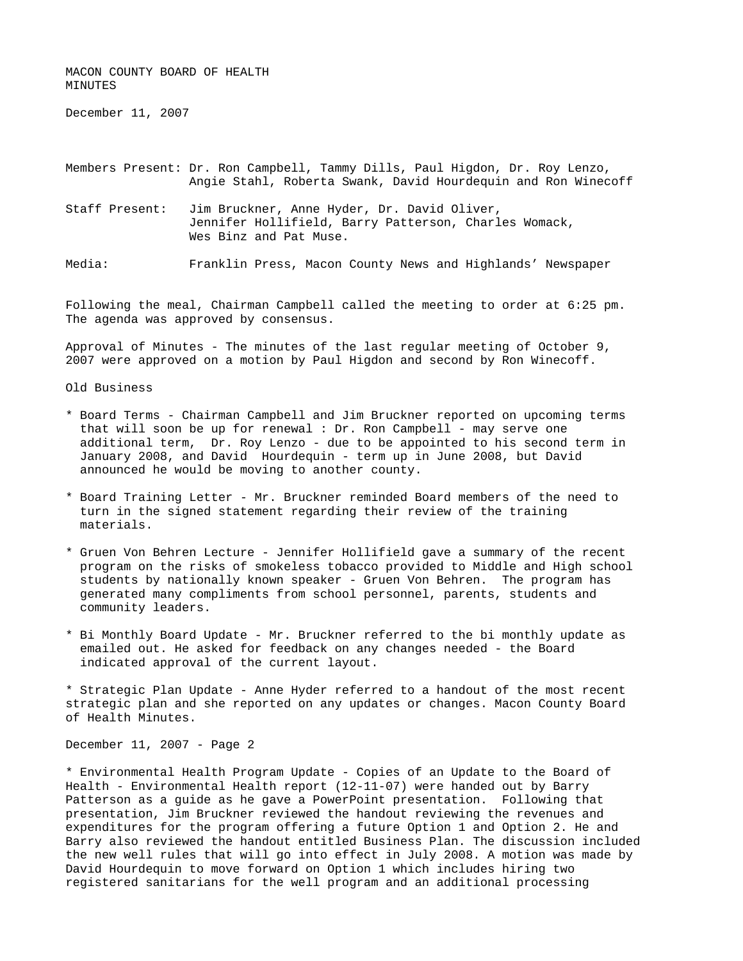MACON COUNTY BOARD OF HEALTH MINUTES

December 11, 2007

Members Present: Dr. Ron Campbell, Tammy Dills, Paul Higdon, Dr. Roy Lenzo, Angie Stahl, Roberta Swank, David Hourdequin and Ron Winecoff

Staff Present: Jim Bruckner, Anne Hyder, Dr. David Oliver, Jennifer Hollifield, Barry Patterson, Charles Womack, Wes Binz and Pat Muse.

Media: Franklin Press, Macon County News and Highlands' Newspaper

Following the meal, Chairman Campbell called the meeting to order at 6:25 pm. The agenda was approved by consensus.

Approval of Minutes - The minutes of the last regular meeting of October 9, 2007 were approved on a motion by Paul Higdon and second by Ron Winecoff.

Old Business

- \* Board Terms Chairman Campbell and Jim Bruckner reported on upcoming terms that will soon be up for renewal : Dr. Ron Campbell - may serve one additional term, Dr. Roy Lenzo - due to be appointed to his second term in January 2008, and David Hourdequin - term up in June 2008, but David announced he would be moving to another county.
- \* Board Training Letter Mr. Bruckner reminded Board members of the need to turn in the signed statement regarding their review of the training materials.
- \* Gruen Von Behren Lecture Jennifer Hollifield gave a summary of the recent program on the risks of smokeless tobacco provided to Middle and High school students by nationally known speaker - Gruen Von Behren. The program has generated many compliments from school personnel, parents, students and community leaders.
- \* Bi Monthly Board Update Mr. Bruckner referred to the bi monthly update as emailed out. He asked for feedback on any changes needed - the Board indicated approval of the current layout.

\* Strategic Plan Update - Anne Hyder referred to a handout of the most recent strategic plan and she reported on any updates or changes. Macon County Board of Health Minutes.

December 11, 2007 - Page 2

\* Environmental Health Program Update - Copies of an Update to the Board of Health - Environmental Health report (12-11-07) were handed out by Barry Patterson as a guide as he gave a PowerPoint presentation. Following that presentation, Jim Bruckner reviewed the handout reviewing the revenues and expenditures for the program offering a future Option 1 and Option 2. He and Barry also reviewed the handout entitled Business Plan. The discussion included the new well rules that will go into effect in July 2008. A motion was made by David Hourdequin to move forward on Option 1 which includes hiring two registered sanitarians for the well program and an additional processing